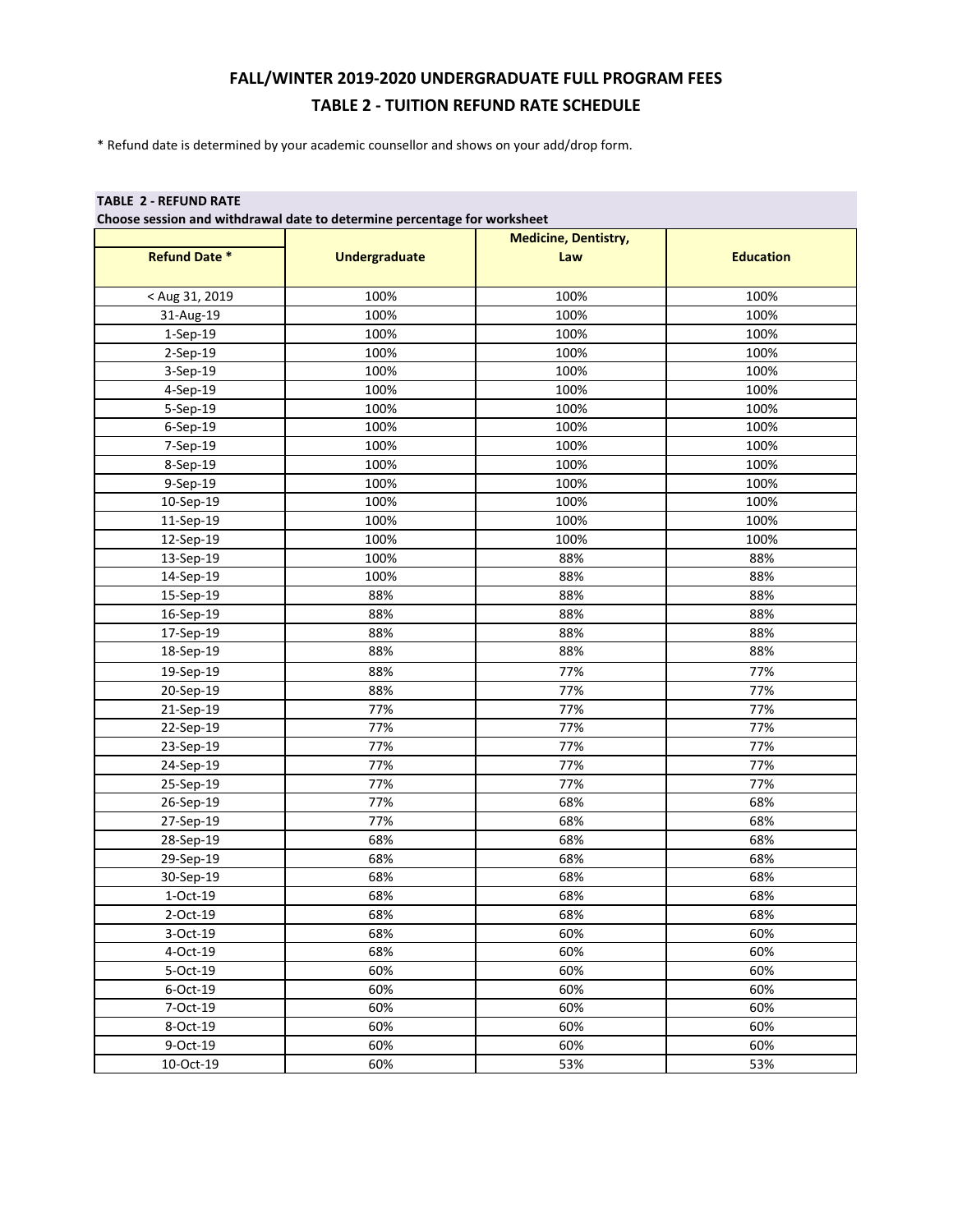## **FALL/WINTER 2019-2020 UNDERGRADUATE FULL PROGRAM FEES TABLE 2 - TUITION REFUND RATE SCHEDULE**

\* Refund date is determined by your academic counsellor and shows on your add/drop form.

## **TABLE 2 - REFUND RATE**

**Choose session and withdrawal date to determine percentage for worksheet**

|                      |                      | <b>Medicine, Dentistry,</b> |                  |
|----------------------|----------------------|-----------------------------|------------------|
| <b>Refund Date *</b> | <b>Undergraduate</b> | Law                         | <b>Education</b> |
|                      |                      |                             |                  |
| < Aug 31, 2019       | 100%                 | 100%                        | 100%             |
| 31-Aug-19            | 100%                 | 100%                        | 100%             |
| 1-Sep-19             | 100%                 | 100%                        | 100%             |
| 2-Sep-19             | 100%                 | 100%                        | 100%             |
| 3-Sep-19             | 100%                 | 100%                        | 100%             |
| 4-Sep-19             | 100%                 | 100%                        | 100%             |
| 5-Sep-19             | 100%                 | 100%                        | 100%             |
| 6-Sep-19             | 100%                 | 100%                        | 100%             |
| 7-Sep-19             | 100%                 | 100%                        | 100%             |
| 8-Sep-19             | 100%                 | 100%                        | 100%             |
| 9-Sep-19             | 100%                 | 100%                        | 100%             |
| 10-Sep-19            | 100%                 | 100%                        | 100%             |
| 11-Sep-19            | 100%                 | 100%                        | 100%             |
| 12-Sep-19            | 100%                 | 100%                        | 100%             |
| 13-Sep-19            | 100%                 | 88%                         | 88%              |
| 14-Sep-19            | 100%                 | 88%                         | 88%              |
| 15-Sep-19            | 88%                  | 88%                         | 88%              |
| 16-Sep-19            | 88%                  | 88%                         | 88%              |
| 17-Sep-19            | 88%                  | 88%                         | 88%              |
| 18-Sep-19            | 88%                  | 88%                         | 88%              |
| 19-Sep-19            | 88%                  | 77%                         | 77%              |
| 20-Sep-19            | 88%                  | 77%                         | 77%              |
| 21-Sep-19            | 77%                  | 77%                         | 77%              |
| 22-Sep-19            | 77%                  | 77%                         | 77%              |
| 23-Sep-19            | 77%                  | 77%                         | 77%              |
| 24-Sep-19            | 77%                  | 77%                         | 77%              |
| 25-Sep-19            | 77%                  | 77%                         | 77%              |
| 26-Sep-19            | 77%                  | 68%                         | 68%              |
| 27-Sep-19            | 77%                  | 68%                         | 68%              |
| 28-Sep-19            | 68%                  | 68%                         | 68%              |
| 29-Sep-19            | 68%                  | 68%                         | 68%              |
| 30-Sep-19            | 68%                  | 68%                         | 68%              |
| 1-Oct-19             | 68%                  | 68%                         | 68%              |
| 2-Oct-19             | 68%                  | 68%                         | 68%              |
| 3-Oct-19             | 68%                  | 60%                         | 60%              |
| 4-Oct-19             | 68%                  | 60%                         | 60%              |
| 5-Oct-19             | 60%                  | 60%                         | 60%              |
| 6-Oct-19             | 60%                  | 60%                         | 60%              |
| 7-Oct-19             | 60%                  | 60%                         | 60%              |
| 8-Oct-19             | 60%                  | 60%                         | 60%              |
| 9-Oct-19             | 60%                  | 60%                         | 60%              |
| 10-Oct-19            | 60%                  | 53%                         | 53%              |